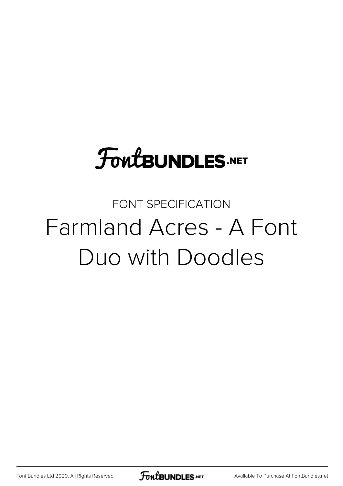# **FoutBUNDLES.NET**

## FONT SPECIFICATION Farmland Acres - A Font Duo with Doodles

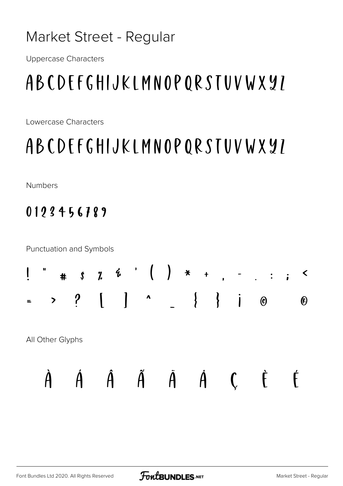### Market Street - Regular

**Uppercase Characters** 

## ABCDEFGHIJKLMNOPQRSTUVWXYI

Lowercase Characters

## **ABCDEFGHIJKLMNOPORSTUVWXYI**

**Numbers** 

### $0193456789$

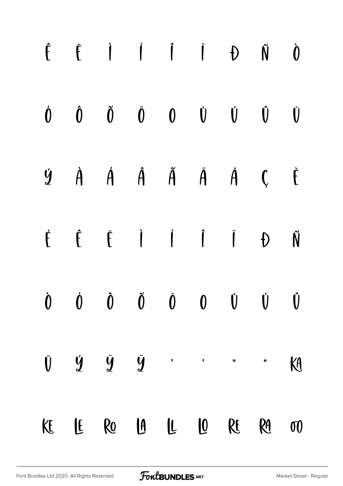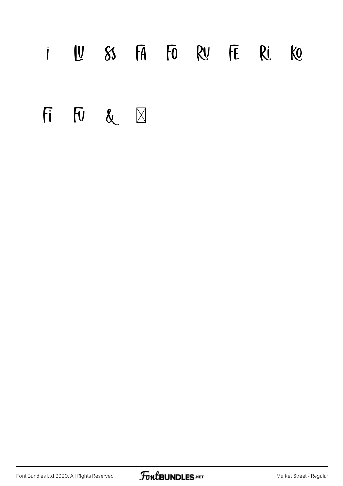## i LU SS FA FO RU FE Ri KO

 $\overline{\mathsf{fi}}$   $\overline{\mathsf{f}\mathsf{u}}$  &  $\boxtimes$ 

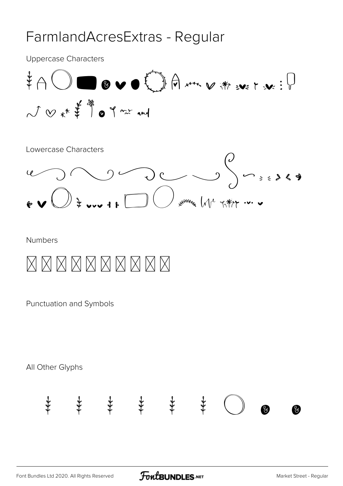#### FarmlandAcresExtras - Regular

**Uppercase Characters**  $\Box$  $\sharp A$  $\bigcup$  $\bigwedge^{\bullet} \vee$  x<sup>\*</sup>  $\stackrel{\circ}{\sharp}$  of me and



**Numbers** 



Punctuation and Symbols

All Other Glyphs

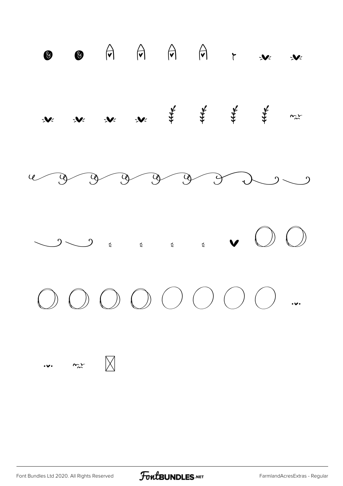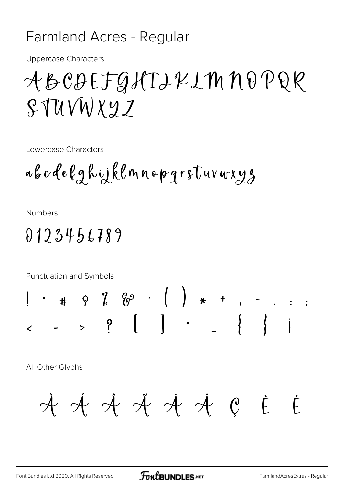### Farmland Acres - Regular

**Uppercase Characters** 

# ABCOEFGHTJRIMNOPQR  $S T U V W X Y J$

Lowercase Characters

abcdelghijklmnopgrstuvuryz

**Numbers** 

## $0123456789$

Punctuation and Symbols

All Other Glyphs

$$
\dot{\mathcal{A}}\not\mathcal{A}\not\mathcal{A}\not\mathcal{A}\not\mathcal{A}\not\mathcal{C}\quad\dot{\mathsf{E}}
$$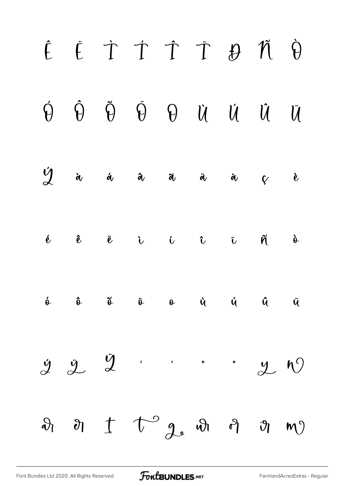

FoutBUNDLES.NET